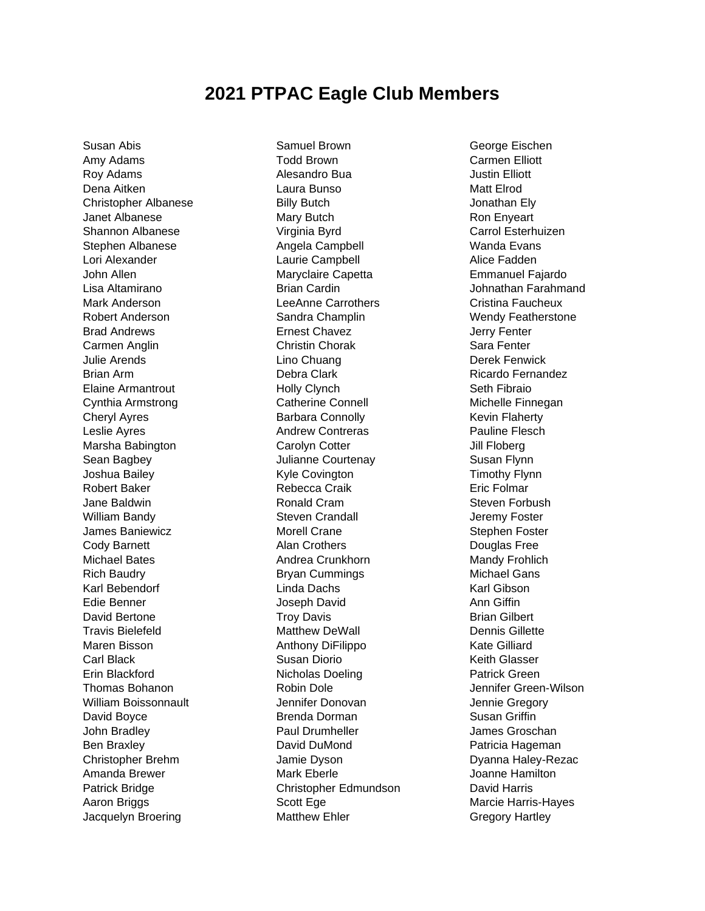## **2021 PTPAC Eagle Club Members**

Susan Abis Amy Adams Roy Adams Dena Aitken Christopher Albanese Janet Albanese Shannon Albanese Stephen Albanese Lori Alexander John Allen Lisa Altamirano Mark Anderson Robert Anderson Brad Andrews Carmen Anglin Julie Arends Brian Arm Elaine Armantrout Cynthia Armstrong Cheryl Ayres Leslie Ayres Marsha Babington Sean Bagbey Joshua Bailey Robert Baker Jane Baldwin William Bandy James Baniewicz Cody Barnett Michael Bates Rich Baudry Karl Bebendorf Edie Benner David Bertone Travis Bielefeld Maren Bisson Carl Black Erin Blackford Thomas Bohanon William Boissonnault David Boyce John Bradley Ben Braxley Christopher Brehm Amanda Brewer Patrick Bridge Aaron Briggs Jacquelyn Broering

Samuel Brown Todd Brown Alesandro Bua Laura Bunso Billy Butch Mary Butch Virginia Byrd Angela Campbell Laurie Campbell Maryclaire Capetta Brian Cardin LeeAnne Carrothers Sandra Champlin Ernest Chavez Christin Chorak Lino Chuang Debra Clark Holly Clynch Catherine Connell Barbara Connolly Andrew Contreras Carolyn Cotter Julianne Courtenay Kyle Covington Rebecca Craik Ronald Cram Steven Crandall Morell Crane Alan Crothers Andrea Crunkhorn Bryan Cummings Linda Dachs Joseph David Troy Davis Matthew DeWall Anthony DiFilippo Susan Diorio Nicholas Doeling Robin Dole Jennifer Donovan Brenda Dorman Paul Drumheller David DuMond Jamie Dyson Mark Eberle Christopher Edmundson Scott Ege Matthew Ehler

George Eischen Carmen Elliott Justin Elliott Matt Elrod Jonathan Ely Ron Enyeart Carrol Esterhuizen Wanda Evans Alice Fadden Emmanuel Fajardo Johnathan Farahmand Cristina Faucheux Wendy Featherstone Jerry Fenter Sara Fenter Derek Fenwick Ricardo Fernandez Seth Fibraio Michelle Finnegan Kevin Flaherty Pauline Flesch Jill Floberg Susan Flynn Timothy Flynn Eric Folmar Steven Forbush Jeremy Foster Stephen Foster Douglas Free Mandy Frohlich Michael Gans Karl Gibson Ann Giffin Brian Gilbert Dennis Gillette Kate Gilliard Keith Glasser Patrick Green Jennifer Green-Wilson Jennie Gregory Susan Griffin James Groschan Patricia Hageman Dyanna Haley-Rezac Joanne Hamilton David Harris Marcie Harris-Hayes Gregory Hartley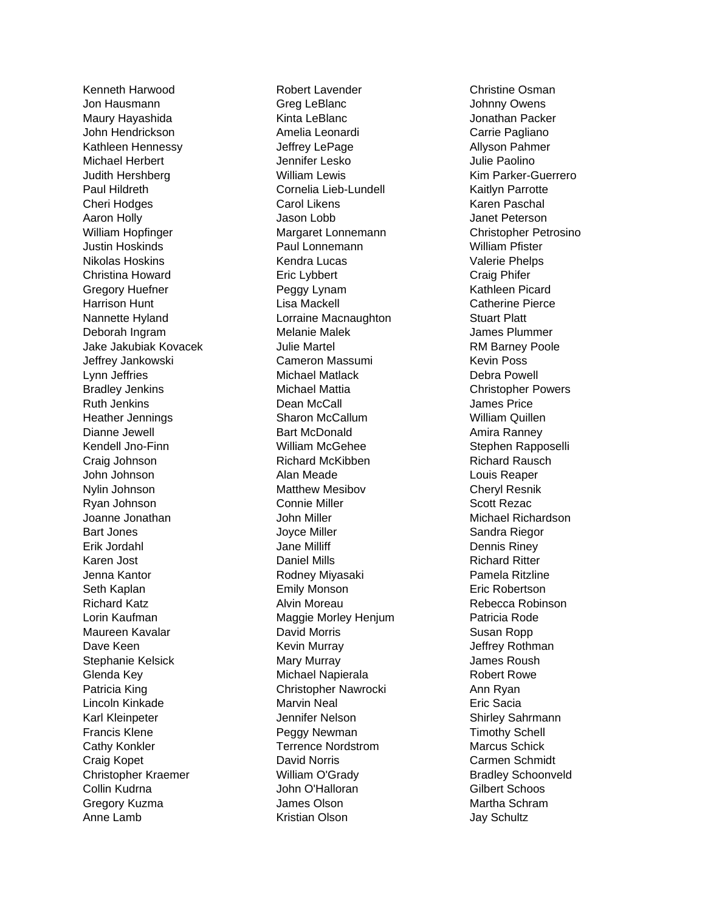Kenneth Harwood Jon Hausmann Maury Hayashida John Hendrickson Kathleen Hennessy Michael Herbert Judith Hershberg Paul Hildreth Cheri Hodges Aaron Holly William Hopfinger Justin Hoskinds Nikolas Hoskins Christina Howard Gregory Huefner Harrison Hunt Nannette Hyland Deborah Ingram Jake Jakubiak Kovacek Jeffrey Jankowski Lynn Jeffries Bradley Jenkins Ruth Jenkins Heather Jennings Dianne Jewell Kendell Jno -Finn Craig Johnson John Johnson Nylin Johnson Ryan Johnson Joanne Jonathan Bart Jones Erik Jordahl Karen Jost Jenna Kantor Seth Kaplan Richard Katz Lorin Kaufman Maureen Kavalar Dave Keen Stephanie Kelsick Glenda Key Patricia King Lincoln Kinkade Karl Kleinpeter Francis Klene Cathy Konkler Craig Kopet Christopher Kraemer Collin Kudrna Gregory Kuzma Anne Lamb

Robert Lavender Greg LeBlanc Kinta LeBlanc Amelia Leonardi Jeffrey LePage Jennifer Lesko William Lewis Cornelia Lieb -Lundell Carol Likens Jason Lobb Margaret Lonnemann Paul Lonnemann Kendra Lucas Eric Lybbert Peggy Lynam Lisa Mackell Lorraine Macnaughton Melanie Malek Julie Martel Cameron Massumi Michael Matlack Michael Mattia Dean McCall Sharon McCallum Bart McDonald William McGehee Richard McKibben Alan Meade Matthew Mesibov Connie Miller John Miller Joyce Miller Jane Milliff Daniel Mills Rodney Miyasaki Emily Monson Alvin Moreau Maggie Morley Henjum David Morris Kevin Murray Mary Murray Michael Napierala Christopher Nawrocki Marvin Neal Jennifer Nelson Peggy Newman Terrence Nordstrom David Norris William O'Grady John O'Halloran James Olson Kristian Olson

Christine Osman Johnny Owens Jonathan Packer Carrie Pagliano Allyson Pahmer Julie Paolino Kim Parker -Guerrero Kaitlyn Parrotte Karen Paschal Janet Peterson Christopher Petrosino William Pfister Valerie Phelps Craig Phifer Kathleen Picard Catherine Pierce Stuart Platt James Plummer RM Barney Poole Kevin Poss Debra Powell Christopher Powers James Price William Quillen Amira Ranney Stephen Rapposelli Richard Rausch Louis Reaper Cheryl Resnik Scott Rezac Michael Richardson Sandra Riegor Dennis Riney Richard Ritter Pamela Ritzline Eric Robertson Rebecca Robinson Patricia Rode Susan Ropp Jeffrey Rothman James Roush Robert Rowe Ann Ryan Eric Sacia Shirley Sahrmann Timothy Schell Marcus Schick Carmen Schmidt Bradley Schoonveld Gilbert Schoos Martha Schram Jay Schultz